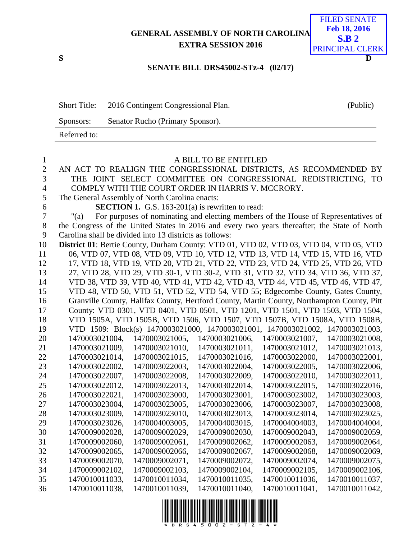### **GENERAL ASSEMBLY OF NORTH CAROLINA EXTRA SESSION 2016**



### **SENATE BILL DRS45002-STz-4 (02/17)**

| <b>Short Title:</b> | 2016 Contingent Congressional Plan. | (Public) |
|---------------------|-------------------------------------|----------|
| Sponsors:           | Senator Rucho (Primary Sponsor).    |          |
| Referred to:        |                                     |          |

| $\mathbf{1}$   | A BILL TO BE ENTITLED                                                                        |                |                                                                                            |                |                |  |
|----------------|----------------------------------------------------------------------------------------------|----------------|--------------------------------------------------------------------------------------------|----------------|----------------|--|
| $\overline{2}$ | AN ACT TO REALIGN THE CONGRESSIONAL DISTRICTS, AS RECOMMENDED BY                             |                |                                                                                            |                |                |  |
| 3              | THE JOINT SELECT COMMITTEE ON CONGRESSIONAL REDISTRICTING, TO                                |                |                                                                                            |                |                |  |
| $\overline{4}$ | COMPLY WITH THE COURT ORDER IN HARRIS V. MCCRORY.                                            |                |                                                                                            |                |                |  |
| 5              | The General Assembly of North Carolina enacts:                                               |                |                                                                                            |                |                |  |
| 6              |                                                                                              |                | <b>SECTION 1.</b> G.S. 163-201(a) is rewritten to read:                                    |                |                |  |
| $\overline{7}$ | " $(a)$                                                                                      |                | For purposes of nominating and electing members of the House of Representatives of         |                |                |  |
| 8              | the Congress of the United States in 2016 and every two years thereafter; the State of North |                |                                                                                            |                |                |  |
| 9              | Carolina shall be divided into 13 districts as follows:                                      |                |                                                                                            |                |                |  |
| 10             | District 01: Bertie County, Durham County: VTD 01, VTD 02, VTD 03, VTD 04, VTD 05, VTD       |                |                                                                                            |                |                |  |
| 11             |                                                                                              |                | 06, VTD 07, VTD 08, VTD 09, VTD 10, VTD 12, VTD 13, VTD 14, VTD 15, VTD 16, VTD            |                |                |  |
| 12             |                                                                                              |                | 17, VTD 18, VTD 19, VTD 20, VTD 21, VTD 22, VTD 23, VTD 24, VTD 25, VTD 26, VTD            |                |                |  |
| 13             |                                                                                              |                | 27, VTD 28, VTD 29, VTD 30-1, VTD 30-2, VTD 31, VTD 32, VTD 34, VTD 36, VTD 37,            |                |                |  |
| 14             |                                                                                              |                | VTD 38, VTD 39, VTD 40, VTD 41, VTD 42, VTD 43, VTD 44, VTD 45, VTD 46, VTD 47,            |                |                |  |
| 15             |                                                                                              |                | VTD 48, VTD 50, VTD 51, VTD 52, VTD 54, VTD 55; Edgecombe County, Gates County,            |                |                |  |
| 16             |                                                                                              |                | Granville County, Halifax County, Hertford County, Martin County, Northampton County, Pitt |                |                |  |
| 17             |                                                                                              |                | County: VTD 0301, VTD 0401, VTD 0501, VTD 1201, VTD 1501, VTD 1503, VTD 1504,              |                |                |  |
| 18             |                                                                                              |                | VTD 1505A, VTD 1505B, VTD 1506, VTD 1507, VTD 1507B, VTD 1508A, VTD 1508B,                 |                |                |  |
| 19             |                                                                                              |                | VTD 1509: Block(s) 1470003021000, 1470003021001, 1470003021002, 1470003021003,             |                |                |  |
| 20             | 1470003021004,                                                                               | 1470003021005, | 1470003021006,                                                                             | 1470003021007, | 1470003021008, |  |
| 21             | 1470003021009,                                                                               | 1470003021010, | 1470003021011,                                                                             | 1470003021012, | 1470003021013, |  |
| 22             | 1470003021014,                                                                               | 1470003021015, | 1470003021016,                                                                             | 1470003022000, | 1470003022001, |  |
| 23             | 1470003022002,                                                                               | 1470003022003, | 1470003022004,                                                                             | 1470003022005, | 1470003022006, |  |
| 24             | 1470003022007,                                                                               | 1470003022008, | 1470003022009,                                                                             | 1470003022010, | 1470003022011, |  |
| 25             | 1470003022012,                                                                               | 1470003022013, | 1470003022014,                                                                             | 1470003022015, | 1470003022016, |  |
| 26             | 1470003022021,                                                                               | 1470003023000, | 1470003023001,                                                                             | 1470003023002, | 1470003023003, |  |
| 27             | 1470003023004,                                                                               | 1470003023005, | 1470003023006,                                                                             | 1470003023007, | 1470003023008, |  |
| 28             | 1470003023009,                                                                               | 1470003023010, | 1470003023013,                                                                             | 1470003023014, | 1470003023025, |  |
| 29             | 1470003023026,                                                                               | 1470004003005, | 1470004003015,                                                                             | 1470004004003, | 1470004004004, |  |
| 30             | 1470009002028,                                                                               | 1470009002029, | 1470009002030,                                                                             | 1470009002043, | 1470009002059, |  |
| 31             | 1470009002060,                                                                               | 1470009002061, | 1470009002062,                                                                             | 1470009002063, | 1470009002064, |  |
| 32             | 1470009002065,                                                                               | 1470009002066, | 1470009002067,                                                                             | 1470009002068, | 1470009002069, |  |
| 33             | 1470009002070,                                                                               | 1470009002071, | 1470009002072,                                                                             | 1470009002074, | 1470009002075, |  |
| 34             | 1470009002102,                                                                               | 1470009002103, | 1470009002104,                                                                             | 1470009002105, | 1470009002106, |  |
| 35             | 1470010011033,                                                                               | 1470010011034, | 1470010011035,                                                                             | 1470010011036, | 1470010011037, |  |
| 36             | 1470010011038,                                                                               | 1470010011039, | 1470010011040,                                                                             | 1470010011041, | 1470010011042, |  |

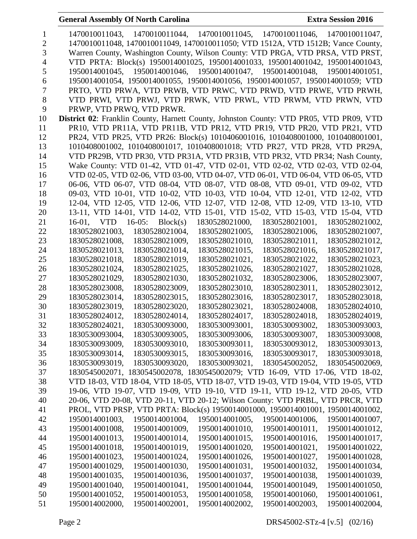| 1        | 1470010011043, 1470010011044, 1470010011045, 1470010011046, 1470010011047,                                                                   |
|----------|----------------------------------------------------------------------------------------------------------------------------------------------|
| 2        | 1470010011048, 1470010011049, 1470010011050; VTD 1512A, VTD 1512B; Vance County,                                                             |
| 3        | Warren County, Washington County, Wilson County: VTD PRGA, VTD PRSA, VTD PRST,                                                               |
| 4        | VTD PRTA: Block(s) 1950014001025, 1950014001033, 1950014001042, 1950014001043,                                                               |
| 5        | 1950014001045, 1950014001046, 1950014001047, 1950014001048, 1950014001051,                                                                   |
| 6        | 1950014001054, 1950014001055, 1950014001056, 1950014001057, 1950014001059; VTD                                                               |
| 7        | PRTO, VTD PRWA, VTD PRWB, VTD PRWC, VTD PRWD, VTD PRWE, VTD PRWH,                                                                            |
| 8        | VTD PRWI, VTD PRWJ, VTD PRWK, VTD PRWL, VTD PRWM, VTD PRWN, VTD                                                                              |
| 9        | PRWP, VTD PRWQ, VTD PRWR.                                                                                                                    |
| 10       | District 02: Franklin County, Harnett County, Johnston County: VTD PR05, VTD PR09, VTD                                                       |
| 11       | PR10, VTD PR11A, VTD PR11B, VTD PR12, VTD PR19, VTD PR20, VTD PR21, VTD                                                                      |
| 12       | PR24, VTD PR25, VTD PR26: Block(s) 1010406001016, 1010408001000, 1010408001001,                                                              |
| 13       | 1010408001002, 1010408001017, 1010408001018; VTD PR27, VTD PR28, VTD PR29A,                                                                  |
| 14       | VTD PR29B, VTD PR30, VTD PR31A, VTD PR31B, VTD PR32, VTD PR34; Nash County,                                                                  |
| 15       | Wake County: VTD 01-42, VTD 01-47, VTD 02-01, VTD 02-02, VTD 02-03, VTD 02-04,                                                               |
| 16       | VTD 02-05, VTD 02-06, VTD 03-00, VTD 04-07, VTD 06-01, VTD 06-04, VTD 06-05, VTD                                                             |
| 17       | 06-06, VTD 06-07, VTD 08-04, VTD 08-07, VTD 08-08, VTD 09-01, VTD 09-02, VTD                                                                 |
| 18       | 09-03, VTD 10-01, VTD 10-02, VTD 10-03, VTD 10-04, VTD 12-01, VTD 12-02, VTD                                                                 |
| 19       | 12-04, VTD 12-05, VTD 12-06, VTD 12-07, VTD 12-08, VTD 12-09, VTD 13-10, VTD                                                                 |
| 20       | 13-11, VTD 14-01, VTD 14-02, VTD 15-01, VTD 15-02, VTD 15-03, VTD 15-04, VTD                                                                 |
| 21       | 16-01, VTD 16-05: Block(s)<br>1830528021000,<br>1830528021001,<br>1830528021002,                                                             |
| 22       | 1830528021003,<br>1830528021004,<br>1830528021005,<br>1830528021006,<br>1830528021007,                                                       |
| 23       | 1830528021008,<br>1830528021009,<br>1830528021010,<br>1830528021011,<br>1830528021012,                                                       |
| 24       | 1830528021013,<br>1830528021014,<br>1830528021017,<br>1830528021015,<br>1830528021016,                                                       |
| 25       | 1830528021018,<br>1830528021019,<br>1830528021021,<br>1830528021022,<br>1830528021023,                                                       |
| 26       | 1830528021024,<br>1830528021025,<br>1830528021026,<br>1830528021027,<br>1830528021028,                                                       |
| 27       | 1830528021029,<br>1830528021030,<br>1830528021032,<br>1830528023006,<br>1830528023007,                                                       |
| 28       | 1830528023008,<br>1830528023009,<br>1830528023010,<br>1830528023011,<br>1830528023012,                                                       |
| 29       | 1830528023014,<br>1830528023015,<br>1830528023016,<br>1830528023017,<br>1830528023018,                                                       |
| 30       | 1830528023019,<br>1830528023020,<br>1830528023021,<br>1830528024008,<br>1830528024010,                                                       |
| 31       | 1830528024012,<br>1830528024014,<br>1830528024017,<br>1830528024018,<br>1830528024019,                                                       |
| 32       | 1830528024021,<br>1830530093000,<br>1830530093001,<br>1830530093002.<br>1830530093003.                                                       |
| 33       | 1830530093006,<br>1830530093004,<br>1830530093005,<br>1830530093007,<br>1830530093008,                                                       |
| 34       | 1830530093009,<br>1830530093010,<br>1830530093011,<br>1830530093012,<br>1830530093013,                                                       |
| 35       | 1830530093014,<br>1830530093015,<br>1830530093016,<br>1830530093017,<br>1830530093018,                                                       |
| 36       | 1830530093019,<br>1830530093020,<br>1830530093021,<br>1830545002052,<br>1830545002069,                                                       |
| 37       | 1830545002071, 1830545002078, 1830545002079; VTD 16-09, VTD 17-06, VTD 18-02,                                                                |
| 38       | VTD 18-03, VTD 18-04, VTD 18-05, VTD 18-07, VTD 19-03, VTD 19-04, VTD 19-05, VTD                                                             |
| 39       | 19-06, VTD 19-07, VTD 19-09, VTD 19-10, VTD 19-11, VTD 19-12, VTD 20-05, VTD                                                                 |
| 40       | 20-06, VTD 20-08, VTD 20-11, VTD 20-12; Wilson County: VTD PRBL, VTD PRCR, VTD                                                               |
| 41       | PROL, VTD PRSP, VTD PRTA: Block(s) 1950014001000, 1950014001001, 1950014001002,                                                              |
| 42       | 1950014001003,<br>1950014001004,<br>1950014001005,<br>1950014001006,<br>1950014001007,                                                       |
| 43       | 1950014001008,<br>1950014001009,<br>1950014001010,<br>1950014001011,<br>1950014001012,                                                       |
| 44       | 1950014001013,<br>1950014001014,<br>1950014001015,<br>1950014001016,<br>1950014001017,                                                       |
| 45       | 1950014001018,<br>1950014001019,<br>1950014001020,<br>1950014001021,<br>1950014001022,                                                       |
| 46       | 1950014001023,<br>1950014001024,<br>1950014001026,<br>1950014001027,<br>1950014001028,                                                       |
| 47       | 1950014001030,<br>1950014001031,<br>1950014001034,<br>1950014001029,<br>1950014001032,                                                       |
| 48       | 1950014001035,<br>1950014001036,<br>1950014001037,<br>1950014001039,<br>1950014001038,                                                       |
| 49<br>50 | 1950014001040,<br>1950014001041,<br>1950014001044,<br>1950014001049,<br>1950014001050,<br>1950014001052,<br>1950014001053,<br>1950014001061, |
| 51       | 1950014001058,<br>1950014001060,<br>1950014002000,<br>1950014002002,<br>1950014002003,<br>1950014002004,<br>1950014002001,                   |
|          |                                                                                                                                              |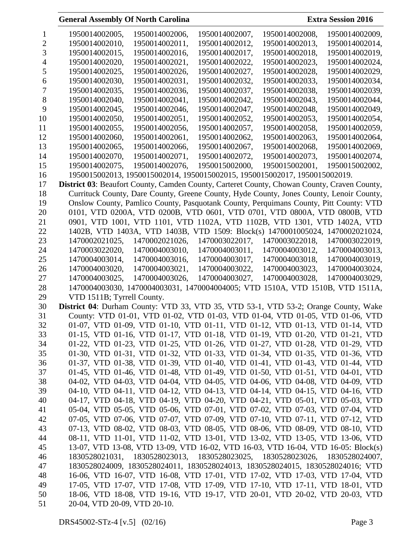|    | 1950014002005,                                                                              | 1950014002006,                                                             | 1950014002007, | 1950014002008, | 1950014002009, |  |
|----|---------------------------------------------------------------------------------------------|----------------------------------------------------------------------------|----------------|----------------|----------------|--|
|    | 1950014002010.                                                                              | 1950014002011.                                                             | 1950014002012. | 1950014002013. | 1950014002014, |  |
|    | 1950014002015,                                                                              | 1950014002016.                                                             | 1950014002017, | 1950014002018. | 1950014002019. |  |
|    | 1950014002020,                                                                              | 1950014002021,                                                             | 1950014002022, | 1950014002023, | 1950014002024, |  |
| C  | 1950014002025,                                                                              | 1950014002026,                                                             | 1950014002027, | 1950014002028, | 1950014002029, |  |
| 6  | 1950014002030,                                                                              | 1950014002031,                                                             | 1950014002032, | 1950014002033, | 1950014002034, |  |
|    | 1950014002035,                                                                              | 1950014002036,                                                             | 1950014002037, | 1950014002038, | 1950014002039, |  |
| 8  | 1950014002040,                                                                              | 1950014002041,                                                             | 1950014002042, | 1950014002043, | 1950014002044, |  |
| 9  | 1950014002045,                                                                              | 1950014002046,                                                             | 1950014002047, | 1950014002048, | 1950014002049, |  |
| 10 | 1950014002050.                                                                              | 1950014002051.                                                             | 1950014002052. | 1950014002053. | 1950014002054. |  |
| 11 | 1950014002055.                                                                              | 1950014002056.                                                             | 1950014002057. | 1950014002058. | 1950014002059. |  |
| 12 | 1950014002060.                                                                              | 1950014002061.                                                             | 1950014002062. | 1950014002063. | 1950014002064. |  |
| 13 | 1950014002065.                                                                              | 1950014002066.                                                             | 1950014002067. | 1950014002068. | 1950014002069. |  |
| 14 | 1950014002070.                                                                              | 1950014002071,                                                             | 1950014002072, | 1950014002073. | 1950014002074, |  |
| 15 | 1950014002075.                                                                              | 1950014002076.                                                             | 1950015002000. | 1950015002001. | 1950015002002. |  |
| 16 |                                                                                             | 1950015002013, 1950015002014, 1950015002015, 1950015002017, 1950015002019. |                |                |                |  |
| 17 | District 03: Beaufort County, Camden County, Carteret County, Chowan County, Craven County, |                                                                            |                |                |                |  |

 Currituck County, Dare County, Greene County, Hyde County, Jones County, Lenoir County, Onslow County, Pamlico County, Pasquotank County, Perquimans County, Pitt County: VTD 0101, VTD 0200A, VTD 0200B, VTD 0601, VTD 0701, VTD 0800A, VTD 0800B, VTD 0901, VTD 1001, VTD 1101, VTD 1102A, VTD 1102B, VTD 1301, VTD 1402A, VTD 1402B, VTD 1403A, VTD 1403B, VTD 1509: Block(s) 1470001005024, 1470002021024, 1470002021025, 1470002021026, 1470003022017, 1470003022018, 1470003022019, 1470003022020, 1470004003010, 1470004003011, 1470004003012, 1470004003013, 1470004003014, 1470004003016, 1470004003017, 1470004003018, 1470004003019, 1470004003020, 1470004003021, 1470004003022, 1470004003023, 1470004003024, 1470004003025, 1470004003026, 1470004003027, 1470004003028, 1470004003029, 1470004003030, 1470004003031, 1470004004005; VTD 1510A, VTD 1510B, VTD 1511A, VTD 1511B; Tyrrell County.

 **District 04**: Durham County: VTD 33, VTD 35, VTD 53-1, VTD 53-2; Orange County, Wake County: VTD 01-01, VTD 01-02, VTD 01-03, VTD 01-04, VTD 01-05, VTD 01-06, VTD 01-07, VTD 01-09, VTD 01-10, VTD 01-11, VTD 01-12, VTD 01-13, VTD 01-14, VTD 01-15, VTD 01-16, VTD 01-17, VTD 01-18, VTD 01-19, VTD 01-20, VTD 01-21, VTD 01-22, VTD 01-23, VTD 01-25, VTD 01-26, VTD 01-27, VTD 01-28, VTD 01-29, VTD 01-30, VTD 01-31, VTD 01-32, VTD 01-33, VTD 01-34, VTD 01-35, VTD 01-36, VTD 01-37, VTD 01-38, VTD 01-39, VTD 01-40, VTD 01-41, VTD 01-43, VTD 01-44, VTD 01-45, VTD 01-46, VTD 01-48, VTD 01-49, VTD 01-50, VTD 01-51, VTD 04-01, VTD 04-02, VTD 04-03, VTD 04-04, VTD 04-05, VTD 04-06, VTD 04-08, VTD 04-09, VTD 04-10, VTD 04-11, VTD 04-12, VTD 04-13, VTD 04-14, VTD 04-15, VTD 04-16, VTD 04-17, VTD 04-18, VTD 04-19, VTD 04-20, VTD 04-21, VTD 05-01, VTD 05-03, VTD 05-04, VTD 05-05, VTD 05-06, VTD 07-01, VTD 07-02, VTD 07-03, VTD 07-04, VTD 07-05, VTD 07-06, VTD 07-07, VTD 07-09, VTD 07-10, VTD 07-11, VTD 07-12, VTD 07-13, VTD 08-02, VTD 08-03, VTD 08-05, VTD 08-06, VTD 08-09, VTD 08-10, VTD 08-11, VTD 11-01, VTD 11-02, VTD 13-01, VTD 13-02, VTD 13-05, VTD 13-06, VTD 13-07, VTD 13-08, VTD 13-09, VTD 16-02, VTD 16-03, VTD 16-04, VTD 16-05: Block(s) 1830528021031, 1830528023013, 1830528023025, 1830528023026, 1830528024007, 1830528024009, 1830528024011, 1830528024013, 1830528024015, 1830528024016; VTD 16-06, VTD 16-07, VTD 16-08, VTD 17-01, VTD 17-02, VTD 17-03, VTD 17-04, VTD 17-05, VTD 17-07, VTD 17-08, VTD 17-09, VTD 17-10, VTD 17-11, VTD 18-01, VTD 18-06, VTD 18-08, VTD 19-16, VTD 19-17, VTD 20-01, VTD 20-02, VTD 20-03, VTD 20-04, VTD 20-09, VTD 20-10.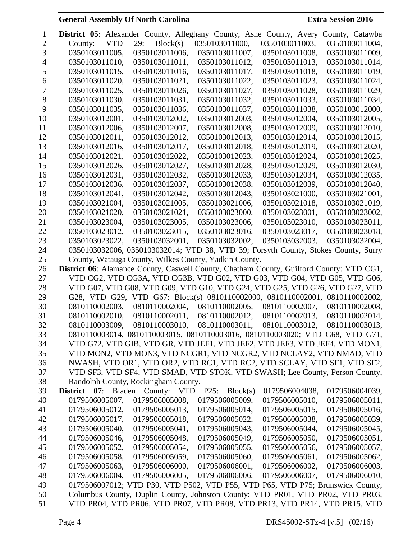| 1        |                                                       |            |                |          |                |          |                | <b>District 05:</b> Alexander County, Alleghany County, Ashe County, Avery County, Catawba                                                                  |  |
|----------|-------------------------------------------------------|------------|----------------|----------|----------------|----------|----------------|-------------------------------------------------------------------------------------------------------------------------------------------------------------|--|
| 2        | County:                                               | <b>VTD</b> | 29:            | Block(s) | 0350103011000, |          | 0350103011003, | 0350103011004,                                                                                                                                              |  |
| 3        | 0350103011005,                                        |            | 0350103011006, |          | 0350103011007, |          | 0350103011008, | 0350103011009,                                                                                                                                              |  |
| 4        | 0350103011010,                                        |            | 0350103011011, |          | 0350103011012, |          | 0350103011013, | 0350103011014,                                                                                                                                              |  |
| 5        | 0350103011015,                                        |            | 0350103011016, |          | 0350103011017, |          | 0350103011018, | 0350103011019,                                                                                                                                              |  |
| 6        | 0350103011020,                                        |            | 0350103011021, |          | 0350103011022, |          | 0350103011023, | 0350103011024,                                                                                                                                              |  |
| 7        | 0350103011025,                                        |            | 0350103011026, |          | 0350103011027, |          | 0350103011028, | 0350103011029,                                                                                                                                              |  |
| 8        | 0350103011030.                                        |            | 0350103011031, |          | 0350103011032, |          | 0350103011033. | 0350103011034,                                                                                                                                              |  |
| 9        | 0350103011035,                                        |            | 0350103011036, |          | 0350103011037, |          | 0350103011038, | 0350103012000,                                                                                                                                              |  |
| 10       | 0350103012001,                                        |            | 0350103012002, |          | 0350103012003, |          | 0350103012004, | 0350103012005,                                                                                                                                              |  |
| 11       | 0350103012006,                                        |            | 0350103012007, |          | 0350103012008, |          | 0350103012009, | 0350103012010,                                                                                                                                              |  |
| 12       | 0350103012011,                                        |            | 0350103012012, |          | 0350103012013, |          | 0350103012014, | 0350103012015,                                                                                                                                              |  |
| 13       | 0350103012016,                                        |            | 0350103012017, |          | 0350103012018, |          | 0350103012019, | 0350103012020,                                                                                                                                              |  |
| 14       | 0350103012021,                                        |            | 0350103012022, |          | 0350103012023, |          | 0350103012024, | 0350103012025,                                                                                                                                              |  |
| 15       | 0350103012026,                                        |            | 0350103012027, |          | 0350103012028, |          | 0350103012029, | 0350103012030,                                                                                                                                              |  |
| 16       | 0350103012031,                                        |            | 0350103012032, |          | 0350103012033, |          | 0350103012034, | 0350103012035,                                                                                                                                              |  |
| 17       | 0350103012036,                                        |            | 0350103012037, |          | 0350103012038, |          | 0350103012039, | 0350103012040,                                                                                                                                              |  |
| 18       | 0350103012041,                                        |            | 0350103012042, |          | 0350103012043, |          | 0350103021000. | 0350103021001,                                                                                                                                              |  |
| 19       | 0350103021004,                                        |            | 0350103021005. |          | 0350103021006, |          | 0350103021018, | 0350103021019,                                                                                                                                              |  |
| 20       | 0350103021020,                                        |            | 0350103021021, |          | 0350103023000, |          | 0350103023001, | 0350103023002,                                                                                                                                              |  |
| 21       | 0350103023004,                                        |            | 0350103023005, |          | 0350103023006, |          | 0350103023010, | 0350103023011,                                                                                                                                              |  |
| 22       | 0350103023012,                                        |            | 0350103023015, |          | 0350103023016, |          | 0350103023017, | 0350103023018,                                                                                                                                              |  |
| 23       | 0350103023022,                                        |            | 0350103032001, |          | 0350103032002, |          | 0350103032003, | 0350103032004,                                                                                                                                              |  |
| 24       |                                                       |            |                |          |                |          |                | 0350103032006, 0350103032014; VTD 38, VTD 39; Forsyth County, Stokes County, Surry                                                                          |  |
| 25       | County, Watauga County, Wilkes County, Yadkin County. |            |                |          |                |          |                |                                                                                                                                                             |  |
| 26       |                                                       |            |                |          |                |          |                | District 06: Alamance County, Caswell County, Chatham County, Guilford County: VTD CG1,                                                                     |  |
| 27       |                                                       |            |                |          |                |          |                | VTD CG2, VTD CG3A, VTD CG3B, VTD G02, VTD G03, VTD G04, VTD G05, VTD G06,                                                                                   |  |
| 28       |                                                       |            |                |          |                |          |                | VTD G07, VTD G08, VTD G09, VTD G10, VTD G24, VTD G25, VTD G26, VTD G27, VTD                                                                                 |  |
| 29       |                                                       |            |                |          |                |          |                | G28, VTD G29, VTD G67: Block(s) 0810110002000, 0810110002001, 0810110002002,                                                                                |  |
| 30       | 0810110002003,                                        |            | 0810110002004, |          | 0810110002005, |          | 0810110002007, | 0810110002008,                                                                                                                                              |  |
| 31       | 0810110002010,                                        |            | 0810110002011, |          | 0810110002012, |          | 0810110002013, | 0810110002014,                                                                                                                                              |  |
| 32       | 0810110003009,                                        |            | 0810110003010, |          | 0810110003011, |          | 0810110003012, | 0810110003013,                                                                                                                                              |  |
| 33       |                                                       |            |                |          |                |          |                | 0810110003014, 0810110003015, 0810110003016, 0810110003020; VTD G68, VTD G71,                                                                               |  |
| 34       |                                                       |            |                |          |                |          |                | VTD G72, VTD GIB, VTD GR, VTD JEF1, VTD JEF2, VTD JEF3, VTD JEF4, VTD MON1,                                                                                 |  |
| 35       |                                                       |            |                |          |                |          |                | VTD MON2, VTD MON3, VTD NCGR1, VTD NCGR2, VTD NCLAY2, VTD NMAD, VTD                                                                                         |  |
| 36       |                                                       |            |                |          |                |          |                | NWASH, VTD OR1, VTD OR2, VTD RC1, VTD RC2, VTD SCLAY, VTD SF1, VTD SF2,                                                                                     |  |
| 37       |                                                       |            |                |          |                |          |                | VTD SF3, VTD SF4, VTD SMAD, VTD STOK, VTD SWASH; Lee County, Person County,                                                                                 |  |
| 38       | Randolph County, Rockingham County.                   |            |                |          |                |          |                |                                                                                                                                                             |  |
| 39       | District 07:                                          | Bladen     | County: VTD    |          | P25:           | Block(s) | 0179506004038, | 0179506004039,                                                                                                                                              |  |
| 40       | 0179506005007,                                        |            | 0179506005008, |          | 0179506005009, |          | 0179506005010, | 0179506005011,                                                                                                                                              |  |
| 41       | 0179506005012,                                        |            | 0179506005013, |          | 0179506005014, |          | 0179506005015, | 0179506005016,                                                                                                                                              |  |
| 42       | 0179506005017,                                        |            | 0179506005018, |          | 0179506005022, |          | 0179506005038, | 0179506005039,                                                                                                                                              |  |
| 43       | 0179506005040,                                        |            | 0179506005041, |          | 0179506005043, |          | 0179506005044, | 0179506005045,                                                                                                                                              |  |
| 44       | 0179506005046,                                        |            | 0179506005048, |          | 0179506005049, |          | 0179506005050, | 0179506005051,                                                                                                                                              |  |
| 45       | 0179506005052,                                        |            | 0179506005054, |          | 0179506005055, |          | 0179506005056, | 0179506005057,                                                                                                                                              |  |
| 46       | 0179506005058,                                        |            | 0179506005059, |          | 0179506005060, |          | 0179506005061, | 0179506005062,                                                                                                                                              |  |
| 47       | 0179506005063,                                        |            | 0179506006000, |          | 0179506006001, |          | 0179506006002, | 0179506006003,                                                                                                                                              |  |
| 48       | 0179506006004,                                        |            | 0179506006005, |          | 0179506006006, |          | 0179506006007, | 0179506006010,                                                                                                                                              |  |
| 49       |                                                       |            |                |          |                |          |                | 0179506007012; VTD P30, VTD P502, VTD P55, VTD P65, VTD P75; Brunswick County,                                                                              |  |
| 50<br>51 |                                                       |            |                |          |                |          |                | Columbus County, Duplin County, Johnston County: VTD PR01, VTD PR02, VTD PR03,<br>VTD PR04, VTD PR06, VTD PR07, VTD PR08, VTD PR13, VTD PR14, VTD PR15, VTD |  |
|          |                                                       |            |                |          |                |          |                |                                                                                                                                                             |  |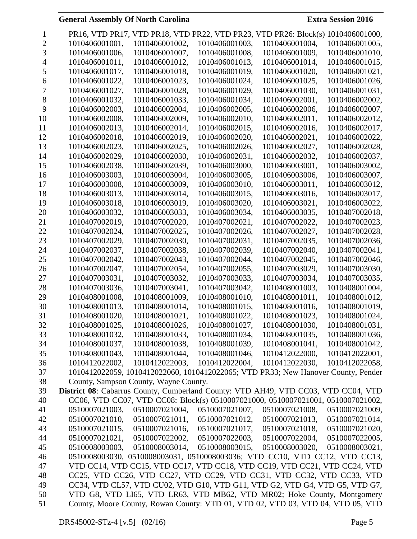|    |                                                                                           |                |                | PR16, VTD PR17, VTD PR18, VTD PR22, VTD PR23, VTD PR26: Block(s)                  | 1010406001000, |
|----|-------------------------------------------------------------------------------------------|----------------|----------------|-----------------------------------------------------------------------------------|----------------|
| 2  | 1010406001001,                                                                            | 1010406001002, | 1010406001003, | 1010406001004,                                                                    | 1010406001005, |
| 3  | 1010406001006,                                                                            | 1010406001007, | 1010406001008, | 1010406001009,                                                                    | 1010406001010, |
|    | 1010406001011,                                                                            | 1010406001012, | 1010406001013, | 1010406001014,                                                                    | 1010406001015, |
| 5  | 1010406001017,                                                                            | 1010406001018, | 1010406001019, | 1010406001020,                                                                    | 1010406001021, |
| 6  | 1010406001022,                                                                            | 1010406001023, | 1010406001024, | 1010406001025,                                                                    | 1010406001026, |
|    | 1010406001027,                                                                            | 1010406001028, | 1010406001029, | 1010406001030,                                                                    | 1010406001031, |
| 8  | 1010406001032,                                                                            | 1010406001033, | 1010406001034, | 1010406002001,                                                                    | 1010406002002, |
| 9  | 1010406002003,                                                                            | 1010406002004, | 1010406002005, | 1010406002006,                                                                    | 1010406002007, |
| 10 | 1010406002008,                                                                            | 1010406002009, | 1010406002010, | 1010406002011,                                                                    | 1010406002012. |
| 11 | 1010406002013,                                                                            | 1010406002014, | 1010406002015, | 1010406002016,                                                                    | 1010406002017, |
| 12 | 1010406002018,                                                                            | 1010406002019, | 1010406002020, | 1010406002021,                                                                    | 1010406002022, |
| 13 | 1010406002023,                                                                            | 1010406002025, | 1010406002026, | 1010406002027,                                                                    | 1010406002028, |
| 14 | 1010406002029,                                                                            | 1010406002030, | 1010406002031, | 1010406002032,                                                                    | 1010406002037, |
| 15 | 1010406002038,                                                                            | 1010406002039, | 1010406003000, | 1010406003001,                                                                    | 1010406003002, |
| 16 | 1010406003003,                                                                            | 1010406003004, | 1010406003005, | 1010406003006,                                                                    | 1010406003007, |
| 17 | 1010406003008,                                                                            | 1010406003009, | 1010406003010, | 1010406003011,                                                                    | 1010406003012, |
| 18 | 1010406003013,                                                                            | 1010406003014, | 1010406003015, | 1010406003016,                                                                    | 1010406003017, |
| 19 | 1010406003018,                                                                            | 1010406003019, | 1010406003020, | 1010406003021,                                                                    | 1010406003022, |
| 20 |                                                                                           |                | 1010406003034, |                                                                                   | 1010407002018, |
|    | 1010406003032,                                                                            | 1010406003033, |                | 1010406003035,                                                                    |                |
| 21 | 1010407002019,                                                                            | 1010407002020, | 1010407002021, | 1010407002022,                                                                    | 1010407002023, |
| 22 | 1010407002024,                                                                            | 1010407002025, | 1010407002026, | 1010407002027,                                                                    | 1010407002028, |
| 23 | 1010407002029,                                                                            | 1010407002030, | 1010407002031, | 1010407002035,                                                                    | 1010407002036, |
| 24 | 1010407002037,                                                                            | 1010407002038, | 1010407002039, | 1010407002040,                                                                    | 1010407002041, |
| 25 | 1010407002042,                                                                            | 1010407002043, | 1010407002044, | 1010407002045,                                                                    | 1010407002046, |
| 26 | 1010407002047,                                                                            | 1010407002054, | 1010407002055, | 1010407003029,                                                                    | 1010407003030, |
| 27 | 1010407003031,                                                                            | 1010407003032, | 1010407003033, | 1010407003034,                                                                    | 1010407003035, |
| 28 | 1010407003036,                                                                            | 1010407003041, | 1010407003042, | 1010408001003,                                                                    | 1010408001004, |
| 29 | 1010408001008,                                                                            | 1010408001009, | 1010408001010, | 1010408001011,                                                                    | 1010408001012, |
| 30 | 1010408001013,                                                                            | 1010408001014, | 1010408001015, | 1010408001016,                                                                    | 1010408001019, |
| 31 | 1010408001020,                                                                            | 1010408001021, | 1010408001022, | 1010408001023,                                                                    | 1010408001024, |
| 32 | 1010408001025,                                                                            | 1010408001026, | 1010408001027, | 1010408001030,                                                                    | 1010408001031, |
| 33 | 1010408001032,                                                                            | 1010408001033, | 1010408001034, | 1010408001035,                                                                    | 1010408001036, |
| 34 | 1010408001037,                                                                            | 1010408001038, | 1010408001039, | 1010408001041,                                                                    | 1010408001042, |
| 35 | 1010408001043,                                                                            | 1010408001044, | 1010408001046, | 1010412022000,                                                                    | 1010412022001, |
| 36 | 1010412022002,                                                                            | 1010412022003, | 1010412022004, | 1010412022030,                                                                    | 1010412022058, |
| 37 |                                                                                           |                |                | 1010412022059, 1010412022060, 1010412022065; VTD PR33; New Hanover County, Pender |                |
| 38 | County, Sampson County, Wayne County.                                                     |                |                |                                                                                   |                |
| 39 | <b>District 08:</b> Cabarrus County, Cumberland County: VTD AH49, VTD CC03, VTD CC04, VTD |                |                |                                                                                   |                |
| 40 |                                                                                           |                |                | CC06, VTD CC07, VTD CC08: Block(s) 0510007021000, 0510007021001, 0510007021002,   |                |
| 41 | 0510007021003,                                                                            | 0510007021004, | 0510007021007, | 0510007021008,                                                                    | 0510007021009, |
| 42 | 0510007021010,                                                                            | 0510007021011, | 0510007021012, | 0510007021013,                                                                    | 0510007021014, |
| 43 | 0510007021015,                                                                            | 0510007021016, | 0510007021017, | 0510007021018.                                                                    | 0510007021020, |
| 44 | 0510007021021,                                                                            | 0510007022002, | 0510007022003, | 0510007022004,                                                                    | 0510007022005, |
| 45 | 0510008003003,                                                                            | 0510008003014, | 0510008003015, | 0510008003020,                                                                    | 0510008003021, |
| 46 |                                                                                           |                |                | 0510008003030, 0510008003031, 0510008003036; VTD CC10, VTD CC12, VTD CC13,        |                |
| 47 |                                                                                           |                |                | VTD CC14, VTD CC15, VTD CC17, VTD CC18, VTD CC19, VTD CC21, VTD CC24, VTD         |                |
| 48 |                                                                                           |                |                | CC25, VTD CC26, VTD CC27, VTD CC29, VTD CC31, VTD CC32, VTD CC33, VTD             |                |
| 49 |                                                                                           |                |                | CC34, VTD CL57, VTD CU02, VTD G10, VTD G11, VTD G2, VTD G4, VTD G5, VTD G7,       |                |
| 50 |                                                                                           |                |                | VTD G8, VTD LI65, VTD LR63, VTD MB62, VTD MR02; Hoke County, Montgomery           |                |
| 51 |                                                                                           |                |                | County, Moore County, Rowan County: VTD 01, VTD 02, VTD 03, VTD 04, VTD 05, VTD   |                |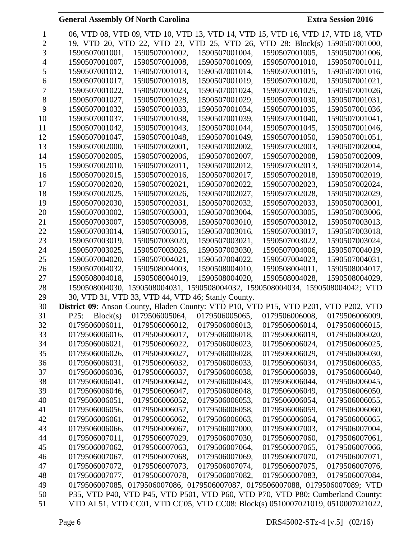|    |                                                                                     |                                                    |                | 06, VTD 08, VTD 09, VTD 10, VTD 13, VTD 14, VTD 15, VTD 16, VTD 17, VTD 18, VTD |                |
|----|-------------------------------------------------------------------------------------|----------------------------------------------------|----------------|---------------------------------------------------------------------------------|----------------|
| 2  |                                                                                     |                                                    |                | 19, VTD 20, VTD 22, VTD 23, VTD 25, VTD 26, VTD 28: Block(s)                    | 1590507001000, |
| 3  | 1590507001001,                                                                      | 1590507001002,                                     | 1590507001004, | 1590507001005,                                                                  | 1590507001006, |
|    | 1590507001007,                                                                      | 1590507001008,                                     | 1590507001009, | 1590507001010,                                                                  | 1590507001011, |
| 5  | 1590507001012,                                                                      | 1590507001013,                                     | 1590507001014, | 1590507001015,                                                                  | 1590507001016, |
| 6  | 1590507001017,                                                                      | 1590507001018,                                     | 1590507001019, | 1590507001020,                                                                  | 1590507001021, |
| 7  | 1590507001022,                                                                      | 1590507001023,                                     | 1590507001024, | 1590507001025,                                                                  | 1590507001026, |
| 8  | 1590507001027,                                                                      | 1590507001028,                                     | 1590507001029, | 1590507001030,                                                                  | 1590507001031, |
| 9  | 1590507001032,                                                                      | 1590507001033,                                     | 1590507001034, | 1590507001035,                                                                  | 1590507001036, |
| 10 | 1590507001037,                                                                      | 1590507001038,                                     | 1590507001039, | 1590507001040,                                                                  | 1590507001041, |
| 11 | 1590507001042,                                                                      | 1590507001043,                                     | 1590507001044, | 1590507001045,                                                                  | 1590507001046, |
| 12 | 1590507001047,                                                                      | 1590507001048,                                     | 1590507001049, | 1590507001050,                                                                  | 1590507001051, |
| 13 | 1590507002000,                                                                      | 1590507002001,                                     | 1590507002002, | 1590507002003,                                                                  | 1590507002004, |
| 14 | 1590507002005,                                                                      | 1590507002006,                                     | 1590507002007, | 1590507002008,                                                                  | 1590507002009, |
| 15 | 1590507002010,                                                                      | 1590507002011,                                     | 1590507002012, | 1590507002013,                                                                  | 1590507002014, |
| 16 | 1590507002015,                                                                      | 1590507002016,                                     | 1590507002017, | 1590507002018,                                                                  | 1590507002019, |
| 17 | 1590507002020,                                                                      | 1590507002021,                                     | 1590507002022, | 1590507002023,                                                                  | 1590507002024, |
| 18 |                                                                                     |                                                    | 1590507002027, | 1590507002028,                                                                  | 1590507002029, |
|    | 1590507002025,                                                                      | 1590507002026,                                     |                |                                                                                 |                |
| 19 | 1590507002030,                                                                      | 1590507002031,                                     | 1590507002032, | 1590507002033,                                                                  | 1590507003001, |
| 20 | 1590507003002,                                                                      | 1590507003003,                                     | 1590507003004, | 1590507003005,                                                                  | 1590507003006, |
| 21 | 1590507003007,                                                                      | 1590507003008,                                     | 1590507003010, | 1590507003012,                                                                  | 1590507003013, |
| 22 | 1590507003014,                                                                      | 1590507003015,                                     | 1590507003016, | 1590507003017,                                                                  | 1590507003018, |
| 23 | 1590507003019,                                                                      | 1590507003020,                                     | 1590507003021, | 1590507003022,                                                                  | 1590507003024, |
| 24 | 1590507003025,                                                                      | 1590507003026,                                     | 1590507003030, | 1590507004006,                                                                  | 1590507004019, |
| 25 | 1590507004020,                                                                      | 1590507004021,                                     | 1590507004022, | 1590507004023,                                                                  | 1590507004031, |
| 26 | 1590507004032,                                                                      | 1590508004003,                                     | 1590508004010, | 1590508004011,                                                                  | 1590508004017, |
| 27 | 1590508004018,                                                                      | 1590508004019,                                     | 1590508004020, | 1590508004028,                                                                  | 1590508004029, |
| 28 | 1590508004030,                                                                      |                                                    |                | 1590508004031, 1590508004032, 1590508004034, 1590508004042; VTD                 |                |
| 29 |                                                                                     | 30, VTD 31, VTD 33, VTD 44, VTD 46; Stanly County. |                |                                                                                 |                |
| 30 | District 09: Anson County, Bladen County: VTD P10, VTD P15, VTD P201, VTD P202, VTD |                                                    |                |                                                                                 |                |
| 31 | Block(s)<br>P25:                                                                    | 0179506005064,                                     | 0179506005065, | 0179506006008,                                                                  | 0179506006009, |
| 32 | 0179506006011,                                                                      | 0179506006012,                                     | 0179506006013, | 0179506006014,                                                                  | 0179506006015, |
| 33 | 0179506006016,                                                                      | 0179506006017,                                     | 0179506006018, | 0179506006019,                                                                  | 0179506006020, |
| 34 | 0179506006021,                                                                      | 0179506006022,                                     | 0179506006023, | 0179506006024,                                                                  | 0179506006025, |
| 35 | 0179506006026,                                                                      | 0179506006027,                                     | 0179506006028, | 0179506006029,                                                                  | 0179506006030, |
| 36 | 0179506006031,                                                                      | 0179506006032,                                     | 0179506006033, | 0179506006034,                                                                  | 0179506006035, |
| 37 | 0179506006036,                                                                      | 0179506006037,                                     | 0179506006038, | 0179506006039,                                                                  | 0179506006040, |
| 38 | 0179506006041,                                                                      | 0179506006042,                                     | 0179506006043, | 0179506006044,                                                                  | 0179506006045, |
| 39 | 0179506006046,                                                                      | 0179506006047,                                     | 0179506006048, | 0179506006049,                                                                  | 0179506006050, |
| 40 | 0179506006051,                                                                      | 0179506006052,                                     | 0179506006053, | 0179506006054,                                                                  | 0179506006055, |
| 41 | 0179506006056,                                                                      | 0179506006057,                                     | 0179506006058, | 0179506006059,                                                                  | 0179506006060, |
| 42 | 0179506006061,                                                                      | 0179506006062,                                     | 0179506006063, | 0179506006064,                                                                  | 0179506006065, |
| 43 | 0179506006066,                                                                      | 0179506006067,                                     | 0179506007000, | 0179506007003,                                                                  | 0179506007004, |
| 44 | 0179506007011,                                                                      | 0179506007029,                                     | 0179506007030, | 0179506007060,                                                                  | 0179506007061, |
| 45 | 0179506007062,                                                                      | 0179506007063,                                     | 0179506007064, | 0179506007065,                                                                  | 0179506007066, |
| 46 | 0179506007067,                                                                      | 0179506007068,                                     | 0179506007069, | 0179506007070,                                                                  | 0179506007071, |
| 47 | 0179506007072,                                                                      | 0179506007073,                                     | 0179506007074, | 0179506007075,                                                                  | 0179506007076, |
| 48 | 0179506007077,                                                                      | 0179506007078,                                     | 0179506007082, | 0179506007083,                                                                  | 0179506007084, |
| 49 |                                                                                     |                                                    |                | 0179506007085, 0179506007086, 0179506007087, 0179506007088, 0179506007089; VTD  |                |
| 50 |                                                                                     |                                                    |                | P35, VTD P40, VTD P45, VTD P501, VTD P60, VTD P70, VTD P80; Cumberland County:  |                |
| 51 |                                                                                     |                                                    |                | VTD AL51, VTD CC01, VTD CC05, VTD CC08: Block(s) 0510007021019, 0510007021022,  |                |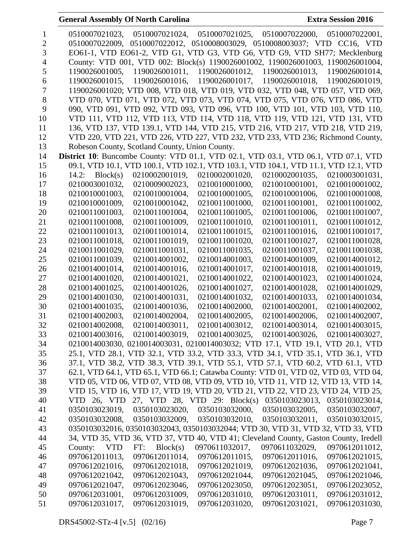| 1      | 0510007021023, 0510007021024, 0510007021025, 0510007022000, 0510007022001,<br>0510007022009, 0510007022012, 0510008003029, 0510008003037; VTD CC16, VTD                |
|--------|------------------------------------------------------------------------------------------------------------------------------------------------------------------------|
| 2<br>3 | EO61-1, VTD EO61-2, VTD G1, VTD G3, VTD G6, VTD G9, VTD SH77; Mecklenburg                                                                                              |
| 4      | County: VTD 001, VTD 002: Block(s) 1190026001002, 1190026001003, 1190026001004,                                                                                        |
| 5      | 1190026001011, 1190026001012, 1190026001013, 1190026001014,<br>1190026001005,                                                                                          |
|        | 1190026001015,                                                                                                                                                         |
| 6      | 1190026001016, 1190026001017, 1190026001018, 1190026001019,                                                                                                            |
| 7      | 1190026001020; VTD 008, VTD 018, VTD 019, VTD 032, VTD 048, VTD 057, VTD 069,                                                                                          |
| 8      | VTD 070, VTD 071, VTD 072, VTD 073, VTD 074, VTD 075, VTD 076, VTD 086, VTD                                                                                            |
| 9      | 090, VTD 091, VTD 092, VTD 093, VTD 096, VTD 100, VTD 101, VTD 103, VTD 110,                                                                                           |
| 10     | VTD 111, VTD 112, VTD 113, VTD 114, VTD 118, VTD 119, VTD 121, VTD 131, VTD                                                                                            |
| 11     | 136, VTD 137, VTD 139.1, VTD 144, VTD 215, VTD 216, VTD 217, VTD 218, VTD 219,                                                                                         |
| 12     | VTD 220, VTD 221, VTD 226, VTD 227, VTD 232, VTD 233, VTD 236; Richmond County,                                                                                        |
| 13     | Robeson County, Scotland County, Union County.<br>District 10: Buncombe County: VTD 01.1, VTD 02.1, VTD 03.1, VTD 06.1, VTD 07.1, VTD                                  |
| 14     | 09.1, VTD 10.1, VTD 100.1, VTD 102.1, VTD 103.1, VTD 104.1, VTD 11.1, VTD 12.1, VTD                                                                                    |
| 15     |                                                                                                                                                                        |
| 16     | 14.2: $Block(s)$<br>0210002001019,<br>0210002001020,<br>0210002001035.<br>0210003001031,                                                                               |
| 17     | 0210003001032,<br>0210009002023,<br>0210010001000,<br>0210010001001,<br>0210010001002,                                                                                 |
| 18     | 0210010001003,<br>0210010001005,<br>0210010001006,<br>0210010001004,<br>0210010001008,                                                                                 |
| 19     | 0210010001009,<br>0210010001042,<br>0210011001000,<br>0210011001001,<br>0210011001002,                                                                                 |
| 20     | 0210011001003,<br>0210011001004,<br>0210011001005,<br>0210011001006,<br>0210011001007,                                                                                 |
| 21     | 0210011001008,<br>0210011001009,<br>0210011001010,<br>0210011001011,<br>0210011001012,                                                                                 |
| 22     | 0210011001013,<br>0210011001014,<br>0210011001015,<br>0210011001016,<br>0210011001017,                                                                                 |
| 23     | 0210011001018,<br>0210011001019,<br>0210011001020,<br>0210011001027,<br>0210011001028,                                                                                 |
| 24     | 0210011001029,<br>0210011001031,<br>0210011001035,<br>0210011001037,<br>0210011001038,                                                                                 |
| 25     | 0210011001039,<br>0210014001002,<br>0210014001003,<br>0210014001009,<br>0210014001012,                                                                                 |
| 26     | 0210014001014,<br>0210014001016,<br>0210014001017,<br>0210014001018,<br>0210014001019,                                                                                 |
| 27     | 0210014001020,<br>0210014001021,<br>0210014001022,<br>0210014001023,<br>0210014001024,                                                                                 |
| 28     | 0210014001025,<br>0210014001026,<br>0210014001027,<br>0210014001028,<br>0210014001029,                                                                                 |
| 29     | 0210014001030,<br>0210014001031,<br>0210014001032,<br>0210014001033,<br>0210014001034,                                                                                 |
| 30     | 0210014001035,<br>0210014001036,<br>0210014002000,<br>0210014002001,<br>0210014002002,                                                                                 |
| 31     | 0210014002003,<br>0210014002004,<br>0210014002005,<br>0210014002006,<br>0210014002007,<br>0210014002008.                                                               |
| 32     | 0210014003011,<br>0210014003012,<br>0210014003014,<br>0210014003015,<br>0210014003016, 0210014003019, 0210014003025, 0210014003026, 0210014003027,                     |
| 33     |                                                                                                                                                                        |
| 34     | 0210014003030, 0210014003031, 0210014003032; VTD 17.1, VTD 19.1, VTD 20.1, VTD                                                                                         |
| 35     | 25.1, VTD 28.1, VTD 32.1, VTD 33.2, VTD 33.3, VTD 34.1, VTD 35.1, VTD 36.1, VTD                                                                                        |
| 36     | 37.1, VTD 38.2, VTD 38.3, VTD 39.1, VTD 55.1, VTD 57.1, VTD 60.2, VTD 61.1, VTD<br>62.1, VTD 64.1, VTD 65.1, VTD 66.1; Catawba County: VTD 01, VTD 02, VTD 03, VTD 04, |
| 37     |                                                                                                                                                                        |
| 38     | VTD 05, VTD 06, VTD 07, VTD 08, VTD 09, VTD 10, VTD 11, VTD 12, VTD 13, VTD 14,<br>VTD 15, VTD 16, VTD 17, VTD 19, VTD 20, VTD 21, VTD 22, VTD 23, VTD 24, VTD 25,     |
| 39     | VTD 26, VTD                                                                                                                                                            |
| 40     | 27, VTD 28, VTD 29: Block(s)<br>0350103023013, 0350103023014,                                                                                                          |
| 41     | 0350103023019,<br>0350103023020,<br>0350103032000,<br>0350103032005,<br>0350103032007,                                                                                 |
| 42     | 0350103032008,<br>0350103032009,<br>0350103032010,<br>0350103032011,<br>0350103032015,                                                                                 |
| 43     | 0350103032016, 0350103032043, 0350103032044; VTD 30, VTD 31, VTD 32, VTD 33, VTD                                                                                       |
| 44     | 34, VTD 35, VTD 36, VTD 37, VTD 40, VTD 41; Cleveland County, Gaston County, Iredell                                                                                   |
| 45     | 0970612011012,<br>County:<br>Block(s)<br>0970611032017,<br>0970611032029,<br>VTD<br>FT:                                                                                |
| 46     | 0970612011013,<br>0970612011014,<br>0970612011015,<br>0970612011016,<br>0970612021015,                                                                                 |
| 47     | 0970612021016,<br>0970612021018,<br>0970612021019,<br>0970612021036,<br>0970612021041,                                                                                 |
| 48     | 0970612021042,<br>0970612021043,<br>0970612021044,<br>0970612021045,<br>0970612021046,                                                                                 |
| 49     | 0970612021047,<br>0970612023050,<br>0970612023051,<br>0970612023046,<br>0970612023052,                                                                                 |
| 50     | 0970612031001,<br>0970612031010,<br>0970612031009,<br>0970612031011,<br>0970612031012,                                                                                 |
| 51     | 0970612031017,<br>0970612031030,<br>0970612031019,<br>0970612031020,<br>0970612031021,                                                                                 |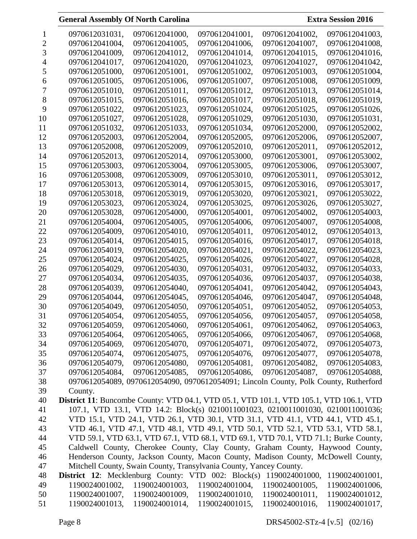**Extra Session 2016** 

|    | 0970612031031,                                                                                | 0970612041000,                                                     | 0970612041001, | 0970612041002,                                                                       | 0970612041003, |
|----|-----------------------------------------------------------------------------------------------|--------------------------------------------------------------------|----------------|--------------------------------------------------------------------------------------|----------------|
| 2  | 0970612041004,                                                                                | 0970612041005,                                                     | 0970612041006, | 0970612041007,                                                                       | 0970612041008, |
| 3  | 0970612041009,                                                                                | 0970612041012,                                                     | 0970612041014, | 0970612041015,                                                                       | 0970612041016, |
| 4  | 0970612041017,                                                                                | 0970612041020,                                                     | 0970612041023, | 0970612041027,                                                                       | 0970612041042, |
| 5  | 0970612051000,                                                                                | 0970612051001,                                                     | 0970612051002, | 0970612051003,                                                                       | 0970612051004, |
| 6  | 0970612051005,                                                                                | 0970612051006,                                                     | 0970612051007, | 0970612051008,                                                                       | 0970612051009, |
| 7  | 0970612051010,                                                                                | 0970612051011,                                                     | 0970612051012, | 0970612051013,                                                                       | 0970612051014, |
| 8  | 0970612051015,                                                                                | 0970612051016,                                                     | 0970612051017, | 0970612051018,                                                                       | 0970612051019, |
| 9  | 0970612051022,                                                                                | 0970612051023,                                                     | 0970612051024, | 0970612051025,                                                                       | 0970612051026, |
| 10 | 0970612051027,                                                                                | 0970612051028,                                                     | 0970612051029, | 0970612051030,                                                                       | 0970612051031, |
| 11 | 0970612051032,                                                                                | 0970612051033,                                                     | 0970612051034, | 0970612052000,                                                                       | 0970612052002, |
| 12 | 0970612052003,                                                                                | 0970612052004,                                                     | 0970612052005, | 0970612052006,                                                                       | 0970612052007, |
| 13 | 0970612052008,                                                                                | 0970612052009,                                                     | 0970612052010, | 0970612052011,                                                                       | 0970612052012, |
| 14 | 0970612052013,                                                                                | 0970612052014,                                                     | 0970612053000, | 0970612053001,                                                                       | 0970612053002, |
| 15 | 0970612053003,                                                                                | 0970612053004,                                                     | 0970612053005, | 0970612053006,                                                                       | 0970612053007, |
| 16 | 0970612053008,                                                                                | 0970612053009,                                                     | 0970612053010, | 0970612053011,                                                                       | 0970612053012, |
| 17 | 0970612053013,                                                                                | 0970612053014,                                                     | 0970612053015, | 0970612053016,                                                                       | 0970612053017, |
| 18 | 0970612053018,                                                                                | 0970612053019,                                                     | 0970612053020, | 0970612053021,                                                                       | 0970612053022, |
| 19 | 0970612053023,                                                                                | 0970612053024,                                                     | 0970612053025, | 0970612053026,                                                                       | 0970612053027, |
| 20 | 0970612053028,                                                                                | 0970612054000,                                                     | 0970612054001, | 0970612054002,                                                                       | 0970612054003, |
| 21 | 0970612054004,                                                                                | 0970612054005,                                                     | 0970612054006, | 0970612054007,                                                                       | 0970612054008, |
| 22 |                                                                                               |                                                                    |                |                                                                                      |                |
|    | 0970612054009,                                                                                | 0970612054010,                                                     | 0970612054011, | 0970612054012,                                                                       | 0970612054013, |
| 23 | 0970612054014,                                                                                | 0970612054015,                                                     | 0970612054016, | 0970612054017,                                                                       | 0970612054018, |
| 24 | 0970612054019,                                                                                | 0970612054020,                                                     | 0970612054021, | 0970612054022,                                                                       | 0970612054023, |
| 25 | 0970612054024,                                                                                | 0970612054025,                                                     | 0970612054026, | 0970612054027,                                                                       | 0970612054028, |
| 26 | 0970612054029,                                                                                | 0970612054030,                                                     | 0970612054031, | 0970612054032,                                                                       | 0970612054033, |
| 27 | 0970612054034,                                                                                | 0970612054035,                                                     | 0970612054036, | 0970612054037,                                                                       | 0970612054038, |
| 28 | 0970612054039,                                                                                | 0970612054040,                                                     | 0970612054041, | 0970612054042,                                                                       | 0970612054043, |
| 29 | 0970612054044,                                                                                | 0970612054045,                                                     | 0970612054046, | 0970612054047,                                                                       | 0970612054048, |
| 30 | 0970612054049,                                                                                | 0970612054050,                                                     | 0970612054051, | 0970612054052,                                                                       | 0970612054053, |
| 31 | 0970612054054,                                                                                | 0970612054055,                                                     | 0970612054056, | 0970612054057,                                                                       | 0970612054058, |
| 32 | 0970612054059,                                                                                | 0970612054060,                                                     | 0970612054061, | 0970612054062,                                                                       | 0970612054063, |
| 33 | 0970612054064,                                                                                | 0970612054065,                                                     | 0970612054066, | 0970612054067,                                                                       | 0970612054068, |
| 34 | 0970612054069,                                                                                | 0970612054070,                                                     | 0970612054071, | 0970612054072,                                                                       | 0970612054073, |
| 35 | 0970612054074,                                                                                | 0970612054075,                                                     | 0970612054076, | 0970612054077,                                                                       | 0970612054078, |
| 36 | 0970612054079,                                                                                | 0970612054080,                                                     | 0970612054081, | 0970612054082,                                                                       | 0970612054083, |
| 37 | 0970612054084,                                                                                | 0970612054085,                                                     | 0970612054086, | 0970612054087,                                                                       | 0970612054088, |
| 38 |                                                                                               |                                                                    |                | 0970612054089, 0970612054090, 0970612054091; Lincoln County, Polk County, Rutherford |                |
| 39 | County.                                                                                       |                                                                    |                |                                                                                      |                |
| 40 | <b>District 11:</b> Buncombe County: VTD 04.1, VTD 05.1, VTD 101.1, VTD 105.1, VTD 106.1, VTD |                                                                    |                |                                                                                      |                |
| 41 |                                                                                               |                                                                    |                | 107.1, VTD 13.1, VTD 14.2: Block(s) 0210011001023, 0210011001030, 0210011001036;     |                |
| 42 |                                                                                               |                                                                    |                | VTD 15.1, VTD 24.1, VTD 26.1, VTD 30.1, VTD 31.1, VTD 41.1, VTD 44.1, VTD 45.1,      |                |
| 43 |                                                                                               |                                                                    |                | VTD 46.1, VTD 47.1, VTD 48.1, VTD 49.1, VTD 50.1, VTD 52.1, VTD 53.1, VTD 58.1,      |                |
| 44 |                                                                                               |                                                                    |                | VTD 59.1, VTD 63.1, VTD 67.1, VTD 68.1, VTD 69.1, VTD 70.1, VTD 71.1; Burke County,  |                |
| 45 |                                                                                               |                                                                    |                | Caldwell County, Cherokee County, Clay County, Graham County, Haywood County,        |                |
| 46 |                                                                                               |                                                                    |                | Henderson County, Jackson County, Macon County, Madison County, McDowell County,     |                |
| 47 |                                                                                               | Mitchell County, Swain County, Transylvania County, Yancey County. |                |                                                                                      |                |
| 48 | District 12: Mecklenburg County: VTD 002: Block(s) 1190024001000,                             |                                                                    |                |                                                                                      | 1190024001001, |
| 49 | 1190024001002,                                                                                | 1190024001003,                                                     | 1190024001004, | 1190024001005,                                                                       | 1190024001006, |
| 50 | 1190024001007,                                                                                | 1190024001009,                                                     | 1190024001010, | 1190024001011,                                                                       | 1190024001012, |
| 51 | 1190024001013,                                                                                | 1190024001014,                                                     | 1190024001015, | 1190024001016,                                                                       | 1190024001017, |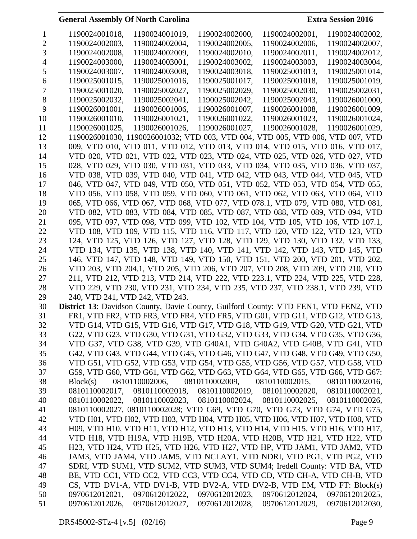| 1              | 1190024001018,<br>1190024001019.<br>1190024002000,<br>1190024002001,<br>1190024002002, |
|----------------|----------------------------------------------------------------------------------------|
| 2              | 1190024002003,<br>1190024002004,<br>1190024002005,<br>1190024002006,<br>1190024002007, |
| 3              | 1190024002008,<br>1190024002009,<br>1190024002010,<br>1190024002011,<br>1190024002012. |
| $\overline{4}$ | 1190024003000,<br>1190024003001,<br>1190024003002,<br>1190024003003,<br>1190024003004, |
| 5              | 1190024003007,<br>1190024003008,<br>1190024003018,<br>1190025001013,<br>1190025001014, |
| 6              | 1190025001015,<br>1190025001018,<br>1190025001016,<br>1190025001017,<br>1190025001019, |
| 7              | 1190025001020,<br>1190025002027,<br>1190025002029,<br>1190025002030,<br>1190025002031, |
| 8              | 1190025002032,<br>1190025002041,<br>1190025002043.<br>1190025002042,<br>1190026001000. |
| 9              | 1190026001001,<br>1190026001006,<br>1190026001007,<br>1190026001008.<br>1190026001009, |
| 10             | 1190026001010,<br>1190026001022,<br>1190026001021,<br>1190026001023,<br>1190026001024, |
| 11             | 1190026001025,<br>1190026001026,<br>1190026001027,<br>1190026001028,<br>1190026001029, |
| 12             | 1190026001030, 1190026001032; VTD 003, VTD 004, VTD 005, VTD 006, VTD 007, VTD         |
| 13             | 009, VTD 010, VTD 011, VTD 012, VTD 013, VTD 014, VTD 015, VTD 016, VTD 017,           |
| 14             | VTD 020, VTD 021, VTD 022, VTD 023, VTD 024, VTD 025, VTD 026, VTD 027, VTD            |
| 15             | 028, VTD 029, VTD 030, VTD 031, VTD 033, VTD 034, VTD 035, VTD 036, VTD 037,           |
| 16             | VTD 038, VTD 039, VTD 040, VTD 041, VTD 042, VTD 043, VTD 044, VTD 045, VTD            |
| 17             | 046, VTD 047, VTD 049, VTD 050, VTD 051, VTD 052, VTD 053, VTD 054, VTD 055,           |
| 18             | VTD 056, VTD 058, VTD 059, VTD 060, VTD 061, VTD 062, VTD 063, VTD 064, VTD            |
| 19             | 065, VTD 066, VTD 067, VTD 068, VTD 077, VTD 078.1, VTD 079, VTD 080, VTD 081,         |
| 20             | VTD 082, VTD 083, VTD 084, VTD 085, VTD 087, VTD 088, VTD 089, VTD 094, VTD            |
| 21             | 095, VTD 097, VTD 098, VTD 099, VTD 102, VTD 104, VTD 105, VTD 106, VTD 107.1,         |
| 22             | VTD 108, VTD 109, VTD 115, VTD 116, VTD 117, VTD 120, VTD 122, VTD 123, VTD            |
| 23             | 124, VTD 125, VTD 126, VTD 127, VTD 128, VTD 129, VTD 130, VTD 132, VTD 133,           |
| 24             | VTD 134, VTD 135, VTD 138, VTD 140, VTD 141, VTD 142, VTD 143, VTD 145, VTD            |
| 25             | 146, VTD 147, VTD 148, VTD 149, VTD 150, VTD 151, VTD 200, VTD 201, VTD 202,           |
| 26             | VTD 203, VTD 204.1, VTD 205, VTD 206, VTD 207, VTD 208, VTD 209, VTD 210, VTD          |
| 27             | 211, VTD 212, VTD 213, VTD 214, VTD 222, VTD 223.1, VTD 224, VTD 225, VTD 228,         |
| 28             | VTD 229, VTD 230, VTD 231, VTD 234, VTD 235, VTD 237, VTD 238.1, VTD 239, VTD          |
| 29             | 240, VTD 241, VTD 242, VTD 243.                                                        |
| 30             | District 13: Davidson County, Davie County, Guilford County: VTD FEN1, VTD FEN2, VTD   |
| 31             | FR1, VTD FR2, VTD FR3, VTD FR4, VTD FR5, VTD G01, VTD G11, VTD G12, VTD G13,           |
| 32             | VTD G14, VTD G15, VTD G16, VTD G17, VTD G18, VTD G19, VTD G20, VTD G21, VTD            |
| 33             | G22, VTD G23, VTD G30, VTD G31, VTD G32, VTD G33, VTD G34, VTD G35, VTD G36,           |
| 34             | VTD G37, VTD G38, VTD G39, VTD G40A1, VTD G40A2, VTD G40B, VTD G41, VTD                |
| 35             | G42, VTD G43, VTD G44, VTD G45, VTD G46, VTD G47, VTD G48, VTD G49, VTD G50,           |
| 36             | VTD G51, VTD G52, VTD G53, VTD G54, VTD G55, VTD G56, VTD G57, VTD G58, VTD            |
| 37             | G59, VTD G60, VTD G61, VTD G62, VTD G63, VTD G64, VTD G65, VTD G66, VTD G67:           |
| 38             | 0810110002006,<br>0810110002009,<br>0810110002015,<br>Block(s)<br>0810110002016,       |
| 39             | 0810110002018,<br>0810110002017,<br>0810110002019, 0810110002020, 0810110002021,       |
| 40             | 0810110002023, 0810110002024, 0810110002025, 0810110002026,<br>0810110002022,          |
| 41             | 0810110002027, 0810110002028; VTD G69, VTD G70, VTD G73, VTD G74, VTD G75,             |
| 42             | VTD H01, VTD H02, VTD H03, VTD H04, VTD H05, VTD H06, VTD H07, VTD H08, VTD            |
| 43             | H09, VTD H10, VTD H11, VTD H12, VTD H13, VTD H14, VTD H15, VTD H16, VTD H17,           |
| 44             | VTD H18, VTD H19A, VTD H19B, VTD H20A, VTD H20B, VTD H21, VTD H22, VTD                 |
| 45             | H23, VTD H24, VTD H25, VTD H26, VTD H27, VTD HP, VTD JAM1, VTD JAM2, VTD               |
| 46             | JAM3, VTD JAM4, VTD JAM5, VTD NCLAY1, VTD NDRI, VTD PG1, VTD PG2, VTD                  |
| 47             | SDRI, VTD SUM1, VTD SUM2, VTD SUM3, VTD SUM4; Iredell County: VTD BA, VTD              |
| 48             | BE, VTD CC1, VTD CC2, VTD CC3, VTD CC4, VTD CD, VTD CH-A, VTD CH-B, VTD                |
| 49             | CS, VTD DV1-A, VTD DV1-B, VTD DV2-A, VTD DV2-B, VTD EM, VTD FT: Block(s)               |
| 50             | 0970612012022, 0970612012023, 0970612012024, 0970612012025,<br>0970612012021,          |
| 51             | 0970612012026,<br>0970612012027, 0970612012028, 0970612012029, 0970612012030,          |